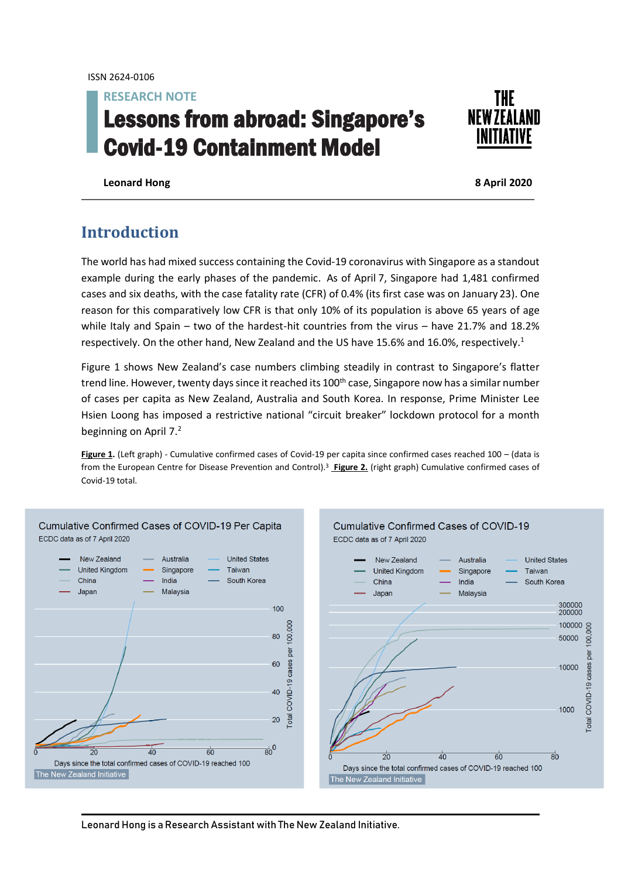**RESEARCH NOTE**

# Lessons from abroad: Singapore's Covid-19 Containment Model



**Leonard Hong 8 April 2020**

# **Introduction**

The world has had mixed success containing the Covid-19 coronavirus with Singapore as a standout example during the early phases of the pandemic. As of April 7, Singapore had 1,481 confirmed cases and six deaths, with the case fatality rate (CFR) of 0.4% (its first case was on January 23). One reason for this comparatively low CFR is that only 10% of its population is above 65 years of age while Italy and Spain – two of the hardest-hit countries from the virus – have 21.7% and 18.2% respectively. On the other hand, New Zealand and the US have 15.6% and 16.0%, respectively. 1

Figure 1 shows New Zealand's case numbers climbing steadily in contrast to Singapore's flatter trend line. However, twenty days since it reached its 100<sup>th</sup> case, Singapore now has a similar number of cases per capita as New Zealand, Australia and South Korea. In response, Prime Minister Lee Hsien Loong has imposed a restrictive national "circuit breaker" lockdown protocol for a month beginning on April 7.<sup>2</sup>

Figure 1. (Left graph) - Cumulative confirmed cases of Covid-19 per capita since confirmed cases reached 100 – (data is from the European Centre for Disease Prevention and Control). <sup>3</sup> **Figure 2.** (right graph) Cumulative confirmed cases of Covid-19 total.





Leonard Hong is a Research Assistant with The New Zealand Initiative.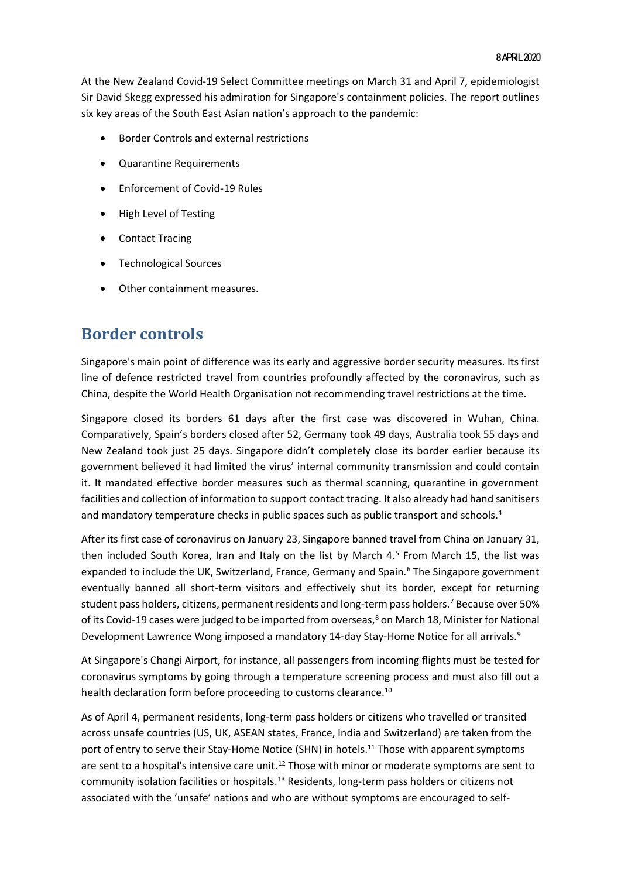At the New Zealand Covid-19 Select Committee meetings on March 31 and April 7, epidemiologist Sir David Skegg expressed his admiration for Singapore's containment policies. The report outlines six key areas of the South East Asian nation's approach to the pandemic:

- Border Controls and external restrictions
- Quarantine Requirements
- Enforcement of Covid-19 Rules
- High Level of Testing
- Contact Tracing
- Technological Sources
- Other containment measures.

# **Border controls**

Singapore's main point of difference was its early and aggressive border security measures. Its first line of defence restricted travel from countries profoundly affected by the coronavirus, such as China, despite the World Health Organisation not recommending travel restrictions at the time.

Singapore closed its borders 61 days after the first case was discovered in Wuhan, China. Comparatively, Spain's borders closed after 52, Germany took 49 days, Australia took 55 days and New Zealand took just 25 days. Singapore didn't completely close its border earlier because its government believed it had limited the virus' internal community transmission and could contain it. It mandated effective border measures such as thermal scanning, quarantine in government facilities and collection of information to support contact tracing. It also already had hand sanitisers and mandatory temperature checks in public spaces such as public transport and schools. 4

After its first case of coronavirus on January 23, Singapore banned travel from China on January 31, then included South Korea, Iran and Italy on the list by March 4.<sup>5</sup> From March 15, the list was expanded to include the UK, Switzerland, France, Germany and Spain.<sup>6</sup> The Singapore government eventually banned all short-term visitors and effectively shut its border, except for returning student pass holders, citizens, permanent residents and long-term pass holders.<sup>7</sup> Because over 50% of its Covid-19 cases were judged to be imported from overseas, <sup>8</sup> on March 18, Minister for National Development Lawrence Wong imposed a mandatory 14-day Stay-Home Notice for all arrivals.<sup>9</sup>

At Singapore's Changi Airport, for instance, all passengers from incoming flights must be tested for coronavirus symptoms by going through a temperature screening process and must also fill out a health declaration form before proceeding to customs clearance.<sup>10</sup>

As of April 4, permanent residents, long-term pass holders or citizens who travelled or transited across unsafe countries (US, UK, ASEAN states, France, India and Switzerland) are taken from the port of entry to serve their Stay-Home Notice (SHN) in hotels. <sup>11</sup> Those with apparent symptoms are sent to a hospital's intensive care unit.<sup>12</sup> Those with minor or moderate symptoms are sent to community isolation facilities or hospitals.<sup>13</sup> Residents, long-term pass holders or citizens not associated with the 'unsafe' nations and who are without symptoms are encouraged to self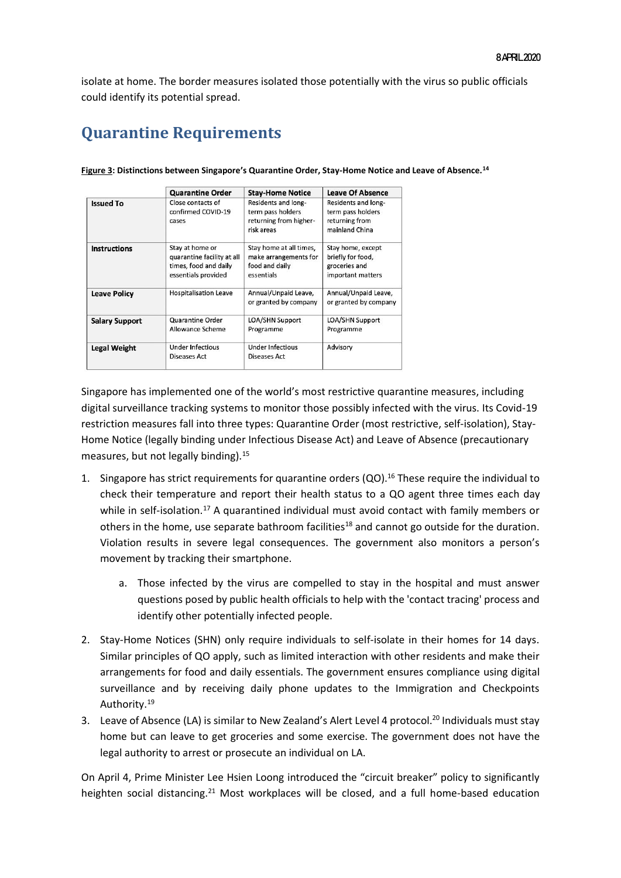isolate at home. The border measures isolated those potentially with the virus so public officials could identify its potential spread.

# **Quarantine Requirements**

|                       | <b>Quarantine Order</b>                                                                       | <b>Stay-Home Notice</b>                                                          | <b>Leave Of Absence</b>                                                      |
|-----------------------|-----------------------------------------------------------------------------------------------|----------------------------------------------------------------------------------|------------------------------------------------------------------------------|
| <b>Issued To</b>      | Close contacts of<br>confirmed COVID-19<br>cases                                              | Residents and long-<br>term pass holders<br>returning from higher-<br>risk areas | Residents and long-<br>term pass holders<br>returning from<br>mainland China |
| <b>Instructions</b>   | Stay at home or<br>quarantine facility at all<br>times, food and daily<br>essentials provided | Stay home at all times,<br>make arrangements for<br>food and daily<br>essentials | Stay home, except<br>briefly for food,<br>groceries and<br>important matters |
| <b>Leave Policy</b>   | <b>Hospitalisation Leave</b>                                                                  | Annual/Unpaid Leave,<br>or granted by company                                    | Annual/Unpaid Leave,<br>or granted by company                                |
| <b>Salary Support</b> | Quarantine Order<br>Allowance Scheme                                                          | <b>LOA/SHN Support</b><br>Programme                                              | LOA/SHN Support<br>Programme                                                 |
| <b>Legal Weight</b>   | <b>Under Infectious</b><br>Diseases Act                                                       | Under Infectious<br>Diseases Act                                                 | Advisory                                                                     |

**Figure 3: Distinctions between Singapore's Quarantine Order, Stay-Home Notice and Leave of Absence.<sup>14</sup>**

Singapore has implemented one of the world's most restrictive quarantine measures, including digital surveillance tracking systems to monitor those possibly infected with the virus. Its Covid-19 restriction measures fall into three types: Quarantine Order (most restrictive, self-isolation), Stay-Home Notice (legally binding under Infectious Disease Act) and Leave of Absence (precautionary measures, but not legally binding).<sup>15</sup>

- 1. Singapore has strict requirements for quarantine orders (QO).<sup>16</sup> These require the individual to check their temperature and report their health status to a QO agent three times each day while in self-isolation.<sup>17</sup> A quarantined individual must avoid contact with family members or others in the home, use separate bathroom facilities<sup>18</sup> and cannot go outside for the duration. Violation results in severe legal consequences. The government also monitors a person's movement by tracking their smartphone.
	- a. Those infected by the virus are compelled to stay in the hospital and must answer questions posed by public health officials to help with the 'contact tracing' process and identify other potentially infected people.
- 2. Stay-Home Notices (SHN) only require individuals to self-isolate in their homes for 14 days. Similar principles of QO apply, such as limited interaction with other residents and make their arrangements for food and daily essentials. The government ensures compliance using digital surveillance and by receiving daily phone updates to the Immigration and Checkpoints Authority.<sup>19</sup>
- 3. Leave of Absence (LA) is similar to New Zealand's Alert Level 4 protocol. <sup>20</sup> Individuals must stay home but can leave to get groceries and some exercise. The government does not have the legal authority to arrest or prosecute an individual on LA.

On April 4, Prime Minister Lee Hsien Loong introduced the "circuit breaker" policy to significantly heighten social distancing.<sup>21</sup> Most workplaces will be closed, and a full home-based education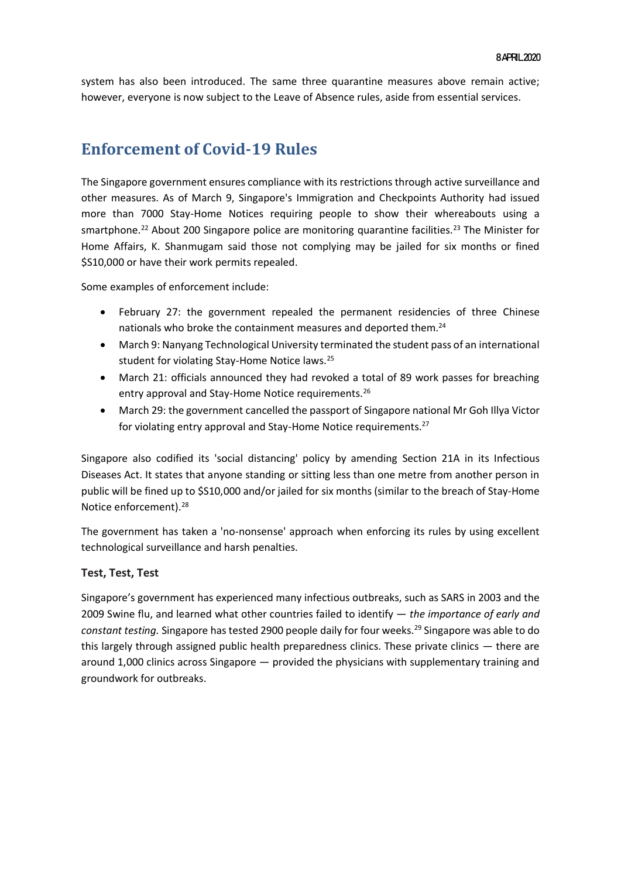system has also been introduced. The same three quarantine measures above remain active; however, everyone is now subject to the Leave of Absence rules, aside from essential services.

### **Enforcement of Covid-19 Rules**

The Singapore government ensures compliance with its restrictions through active surveillance and other measures. As of March 9, Singapore's Immigration and Checkpoints Authority had issued more than 7000 Stay-Home Notices requiring people to show their whereabouts using a smartphone.<sup>22</sup> About 200 Singapore police are monitoring quarantine facilities.<sup>23</sup> The Minister for Home Affairs, K. Shanmugam said those not complying may be jailed for six months or fined \$S10,000 or have their work permits repealed.

Some examples of enforcement include:

- February 27: the government repealed the permanent residencies of three Chinese nationals who broke the containment measures and deported them.<sup>24</sup>
- March 9: Nanyang Technological University terminated the student pass of an international student for violating Stay-Home Notice laws.<sup>25</sup>
- March 21: officials announced they had revoked a total of 89 work passes for breaching entry approval and Stay-Home Notice requirements.<sup>26</sup>
- March 29: the government cancelled the passport of Singapore national Mr Goh Illya Victor for violating entry approval and Stay-Home Notice requirements.<sup>27</sup>

Singapore also codified its 'social distancing' policy by amending Section 21A in its Infectious Diseases Act. It states that anyone standing or sitting less than one metre from another person in public will be fined up to \$S10,000 and/or jailed for six months (similar to the breach of Stay-Home Notice enforcement). 28

The government has taken a 'no-nonsense' approach when enforcing its rules by using excellent technological surveillance and harsh penalties.

### **Test, Test, Test**

Singapore's government has experienced many infectious outbreaks, such as SARS in 2003 and the 2009 Swine flu, and learned what other countries failed to identify — *the importance of early and constant testing.* Singapore has tested 2900 people daily for four weeks. <sup>29</sup> Singapore was able to do this largely through assigned public health preparedness clinics. These private clinics — there are around 1,000 clinics across Singapore — provided the physicians with supplementary training and groundwork for outbreaks.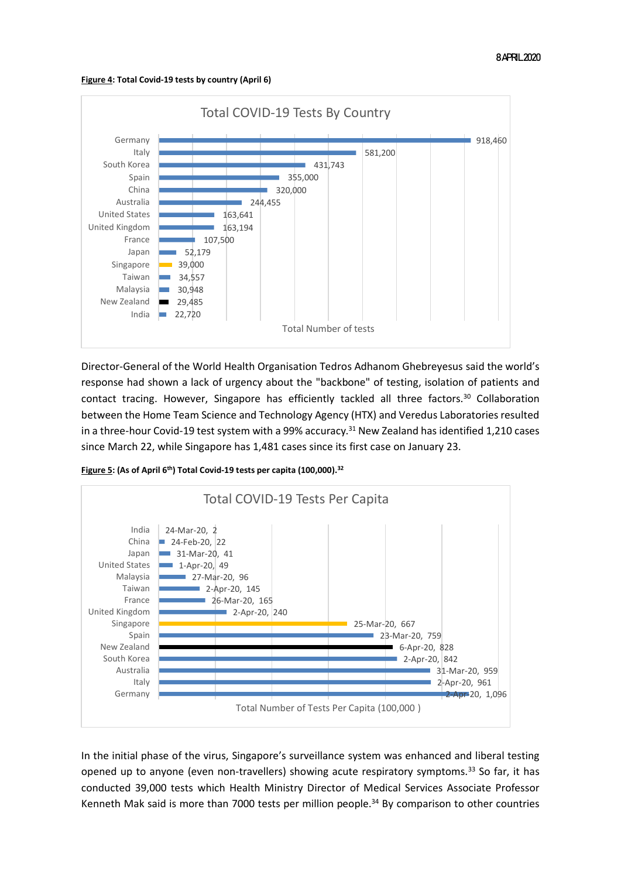**Figure 4: Total Covid-19 tests by country (April 6)** 



Director-General of the World Health Organisation Tedros Adhanom Ghebreyesus said the world's response had shown a lack of urgency about the "backbone" of testing, isolation of patients and contact tracing. However, Singapore has efficiently tackled all three factors.<sup>30</sup> Collaboration between the Home Team Science and Technology Agency (HTX) and Veredus Laboratories resulted in a three-hour Covid-19 test system with a 99% accuracy.<sup>31</sup> New Zealand has identified 1,210 cases since March 22, while Singapore has 1,481 cases since its first case on January 23.

**Figure 5: (As of April 6th) Total Covid-19 tests per capita (100,000). 32**



In the initial phase of the virus, Singapore's surveillance system was enhanced and liberal testing opened up to anyone (even non-travellers) showing acute respiratory symptoms.<sup>33</sup> So far, it has conducted 39,000 tests which Health Ministry Director of Medical Services Associate Professor Kenneth Mak said is more than 7000 tests per million people.<sup>34</sup> By comparison to other countries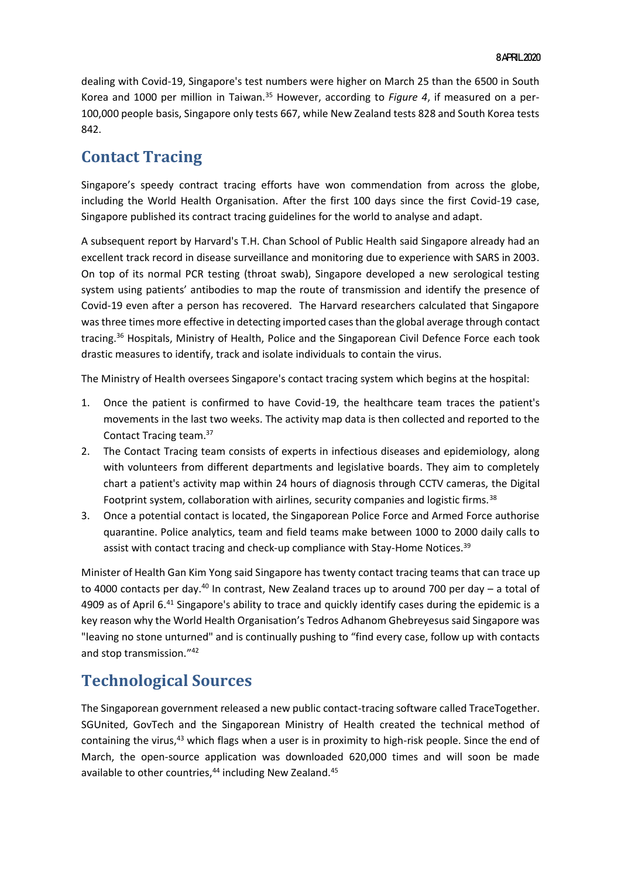dealing with Covid-19, Singapore's test numbers were higher on March 25 than the 6500 in South Korea and 1000 per million in Taiwan.<sup>35</sup> However, according to *Figure 4*, if measured on a per-100,000 people basis, Singapore only tests 667, while New Zealand tests 828 and South Korea tests 842.

# **Contact Tracing**

Singapore's speedy contract tracing efforts have won commendation from across the globe, including the World Health Organisation. After the first 100 days since the first Covid-19 case, Singapore published its contract tracing guidelines for the world to analyse and adapt.

A subsequent report by Harvard's T.H. Chan School of Public Health said Singapore already had an excellent track record in disease surveillance and monitoring due to experience with SARS in 2003. On top of its normal PCR testing (throat swab), Singapore developed a new serological testing system using patients' antibodies to map the route of transmission and identify the presence of Covid-19 even after a person has recovered. The Harvard researchers calculated that Singapore was three times more effective in detecting imported cases than the global average through contact tracing.<sup>36</sup> Hospitals, Ministry of Health, Police and the Singaporean Civil Defence Force each took drastic measures to identify, track and isolate individuals to contain the virus.

The Ministry of Health oversees Singapore's contact tracing system which begins at the hospital:

- 1. Once the patient is confirmed to have Covid-19, the healthcare team traces the patient's movements in the last two weeks. The activity map data is then collected and reported to the Contact Tracing team.<sup>37</sup>
- 2. The Contact Tracing team consists of experts in infectious diseases and epidemiology, along with volunteers from different departments and legislative boards. They aim to completely chart a patient's activity map within 24 hours of diagnosis through CCTV cameras, the Digital Footprint system, collaboration with airlines, security companies and logistic firms.<sup>38</sup>
- 3. Once a potential contact is located, the Singaporean Police Force and Armed Force authorise quarantine. Police analytics, team and field teams make between 1000 to 2000 daily calls to assist with contact tracing and check-up compliance with Stay-Home Notices.<sup>39</sup>

Minister of Health Gan Kim Yong said Singapore has twenty contact tracing teams that can trace up to 4000 contacts per day.<sup>40</sup> In contrast, New Zealand traces up to around 700 per day  $-$  a total of 4909 as of April 6.<sup>41</sup> Singapore's ability to trace and quickly identify cases during the epidemic is a key reason why the World Health Organisation's Tedros Adhanom Ghebreyesus said Singapore was "leaving no stone unturned" and is continually pushing to "find every case, follow up with contacts and stop transmission." 42

# **Technological Sources**

The Singaporean government released a new public contact-tracing software called TraceTogether. SGUnited, GovTech and the Singaporean Ministry of Health created the technical method of containing the virus,<sup>43</sup> which flags when a user is in proximity to high-risk people. Since the end of March, the open-source application was downloaded 620,000 times and will soon be made available to other countries,<sup>44</sup> including New Zealand.<sup>45</sup>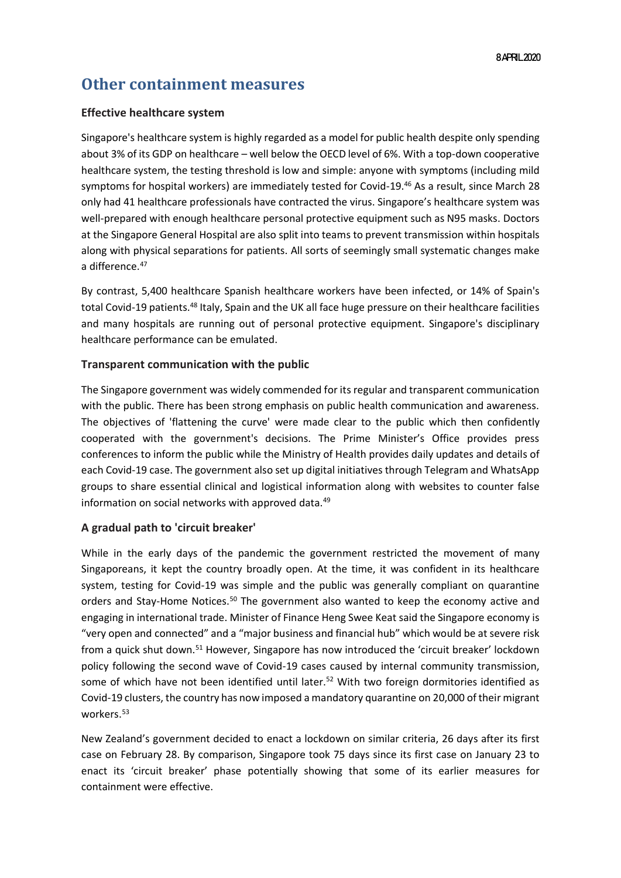### **Other containment measures**

### **Effective healthcare system**

Singapore's healthcare system is highly regarded as a model for public health despite only spending about 3% of its GDP on healthcare – well below the OECD level of 6%. With a top-down cooperative healthcare system, the testing threshold is low and simple: anyone with symptoms (including mild symptoms for hospital workers) are immediately tested for Covid-19.<sup>46</sup> As a result, since March 28 only had 41 healthcare professionals have contracted the virus. Singapore's healthcare system was well-prepared with enough healthcare personal protective equipment such as N95 masks. Doctors at the Singapore General Hospital are also split into teams to prevent transmission within hospitals along with physical separations for patients. All sorts of seemingly small systematic changes make a difference.<sup>47</sup>

By contrast, 5,400 healthcare Spanish healthcare workers have been infected, or 14% of Spain's total Covid-19 patients.<sup>48</sup> Italy, Spain and the UK all face huge pressure on their healthcare facilities and many hospitals are running out of personal protective equipment. Singapore's disciplinary healthcare performance can be emulated.

### **Transparent communication with the public**

The Singapore government was widely commended for its regular and transparent communication with the public. There has been strong emphasis on public health communication and awareness. The objectives of 'flattening the curve' were made clear to the public which then confidently cooperated with the government's decisions. The Prime Minister's Office provides press conferences to inform the public while the Ministry of Health provides daily updates and details of each Covid-19 case. The government also set up digital initiatives through Telegram and WhatsApp groups to share essential clinical and logistical information along with websites to counter false information on social networks with approved data. 49

### **A gradual path to 'circuit breaker'**

While in the early days of the pandemic the government restricted the movement of many Singaporeans, it kept the country broadly open. At the time, it was confident in its healthcare system, testing for Covid-19 was simple and the public was generally compliant on quarantine orders and Stay-Home Notices.<sup>50</sup> The government also wanted to keep the economy active and engaging in international trade. Minister of Finance Heng Swee Keat said the Singapore economy is "very open and connected" and a "major business and financial hub" which would be at severe risk from a quick shut down.<sup>51</sup> However, Singapore has now introduced the 'circuit breaker' lockdown policy following the second wave of Covid-19 cases caused by internal community transmission, some of which have not been identified until later.<sup>52</sup> With two foreign dormitories identified as Covid-19 clusters, the country has now imposed a mandatory quarantine on 20,000 of their migrant workers.<sup>53</sup>

New Zealand's government decided to enact a lockdown on similar criteria, 26 days after its first case on February 28. By comparison, Singapore took 75 days since its first case on January 23 to enact its 'circuit breaker' phase potentially showing that some of its earlier measures for containment were effective.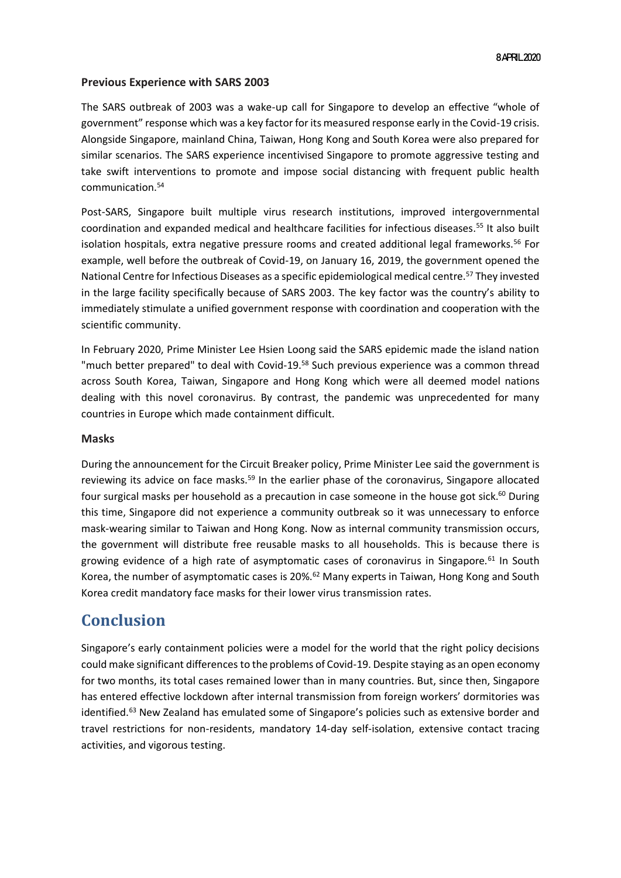#### **Previous Experience with SARS 2003**

The SARS outbreak of 2003 was a wake-up call for Singapore to develop an effective "whole of government" response which was a key factor for its measured response early in the Covid-19 crisis. Alongside Singapore, mainland China, Taiwan, Hong Kong and South Korea were also prepared for similar scenarios. The SARS experience incentivised Singapore to promote aggressive testing and take swift interventions to promote and impose social distancing with frequent public health communication.<sup>54</sup>

Post-SARS, Singapore built multiple virus research institutions, improved intergovernmental coordination and expanded medical and healthcare facilities for infectious diseases. <sup>55</sup> It also built isolation hospitals, extra negative pressure rooms and created additional legal frameworks.<sup>56</sup> For example, well before the outbreak of Covid-19, on January 16, 2019, the government opened the National Centre for Infectious Diseases as a specific epidemiological medical centre.<sup>57</sup> They invested in the large facility specifically because of SARS 2003. The key factor was the country's ability to immediately stimulate a unified government response with coordination and cooperation with the scientific community.

In February 2020, Prime Minister Lee Hsien Loong said the SARS epidemic made the island nation "much better prepared" to deal with Covid-19.<sup>58</sup> Such previous experience was a common thread across South Korea, Taiwan, Singapore and Hong Kong which were all deemed model nations dealing with this novel coronavirus. By contrast, the pandemic was unprecedented for many countries in Europe which made containment difficult.

#### **Masks**

During the announcement for the Circuit Breaker policy, Prime Minister Lee said the government is reviewing its advice on face masks.<sup>59</sup> In the earlier phase of the coronavirus, Singapore allocated four surgical masks per household as a precaution in case someone in the house got sick.<sup>60</sup> During this time, Singapore did not experience a community outbreak so it was unnecessary to enforce mask-wearing similar to Taiwan and Hong Kong. Now as internal community transmission occurs, the government will distribute free reusable masks to all households. This is because there is growing evidence of a high rate of asymptomatic cases of coronavirus in Singapore*.* <sup>61</sup> In South Korea, the number of asymptomatic cases is 20%.<sup>62</sup> Many experts in Taiwan, Hong Kong and South Korea credit mandatory face masks for their lower virus transmission rates.

### **Conclusion**

Singapore's early containment policies were a model for the world that the right policy decisions could make significant differences to the problems of Covid-19. Despite staying as an open economy for two months, its total cases remained lower than in many countries. But, since then, Singapore has entered effective lockdown after internal transmission from foreign workers' dormitories was identified. <sup>63</sup> New Zealand has emulated some of Singapore's policies such as extensive border and travel restrictions for non-residents, mandatory 14-day self-isolation, extensive contact tracing activities, and vigorous testing.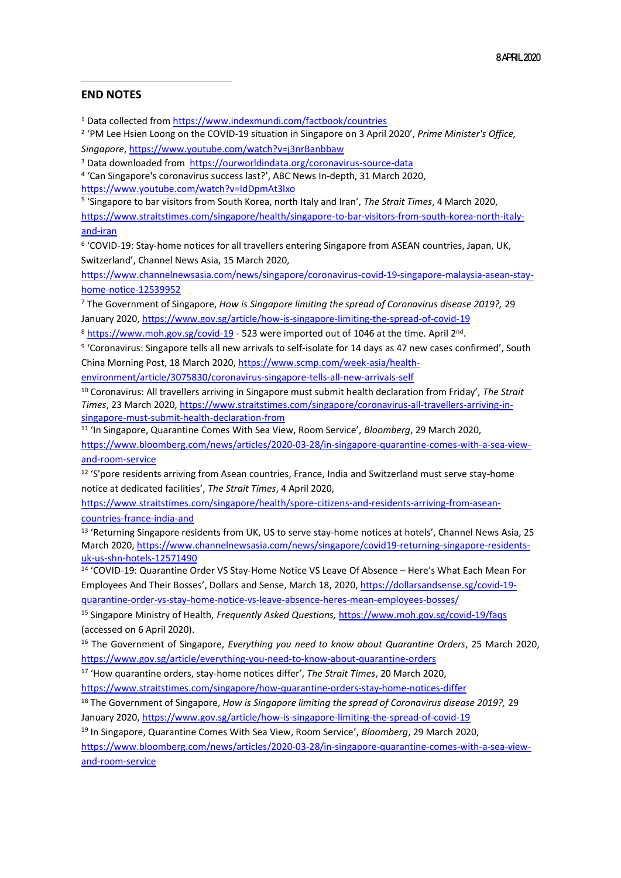#### **END NOTES**

<sup>1</sup> Data collected from<https://www.indexmundi.com/factbook/countries>

2 'PM Lee Hsien Loong on the COVID-19 situation in Singapore on 3 April 2020', *Prime Minister's Office, Singapore*[, https://www.youtube.com/watch?v=j3nrBanbbaw](https://www.youtube.com/watch?v=j3nrBanbbaw)

<sup>3</sup> Data downloaded from <https://ourworldindata.org/coronavirus-source-data>

4 'Can Singapore's coronavirus success last?', ABC News In-depth, 31 March 2020, <https://www.youtube.com/watch?v=IdDpmAt3lxo>

5 'Singapore to bar visitors from South Korea, north Italy and Iran', *The Strait Times*, 4 March 2020,

[https://www.straitstimes.com/singapore/health/singapore-to-bar-visitors-from-south-korea-north-italy](https://www.straitstimes.com/singapore/health/singapore-to-bar-visitors-from-south-korea-north-italy-and-iran)[and-iran](https://www.straitstimes.com/singapore/health/singapore-to-bar-visitors-from-south-korea-north-italy-and-iran)

6 'COVID-19: Stay-home notices for all travellers entering Singapore from ASEAN countries, Japan, UK, Switzerland', Channel News Asia, 15 March 2020,

[https://www.channelnewsasia.com/news/singapore/coronavirus-covid-19-singapore-malaysia-asean-stay](https://www.channelnewsasia.com/news/singapore/coronavirus-covid-19-singapore-malaysia-asean-stay-home-notice-12539952)[home-notice-12539952](https://www.channelnewsasia.com/news/singapore/coronavirus-covid-19-singapore-malaysia-asean-stay-home-notice-12539952)

<sup>7</sup> The Government of Singapore, *How is Singapore limiting the spread of Coronavirus disease 2019?,* 29 January 2020[, https://www.gov.sg/article/how-is-singapore-limiting-the-spread-of-covid-19](https://www.gov.sg/article/how-is-singapore-limiting-the-spread-of-covid-19) 

<sup>8</sup> <https://www.moh.gov.sg/covid-19></u> - 523 were imported out of 1046 at the time. April 2<sup>nd</sup>.

9 'Coronavirus: Singapore tells all new arrivals to self-isolate for 14 days as 47 new cases confirmed', South China Morning Post, 18 March 2020[, https://www.scmp.com/week-asia/health-](https://www.scmp.com/week-asia/health-environment/article/3075830/coronavirus-singapore-tells-all-new-arrivals-self)

[environment/article/3075830/coronavirus-singapore-tells-all-new-arrivals-self](https://www.scmp.com/week-asia/health-environment/article/3075830/coronavirus-singapore-tells-all-new-arrivals-self)

<sup>10</sup> Coronavirus: All travellers arriving in Singapore must submit health declaration from Friday', *The Strait Times*, 23 March 2020[, https://www.straitstimes.com/singapore/coronavirus-all-travellers-arriving-in](https://www.straitstimes.com/singapore/coronavirus-all-travellers-arriving-in-singapore-must-submit-health-declaration-from)[singapore-must-submit-health-declaration-from](https://www.straitstimes.com/singapore/coronavirus-all-travellers-arriving-in-singapore-must-submit-health-declaration-from)

11 'In Singapore, Quarantine Comes With Sea View, Room Service', *Bloomberg*, 29 March 2020, [https://www.bloomberg.com/news/articles/2020-03-28/in-singapore-quarantine-comes-with-a-sea-view](https://www.bloomberg.com/news/articles/2020-03-28/in-singapore-quarantine-comes-with-a-sea-view-and-room-service)[and-room-service](https://www.bloomberg.com/news/articles/2020-03-28/in-singapore-quarantine-comes-with-a-sea-view-and-room-service)

<sup>12</sup> 'S'pore residents arriving from Asean countries, France, India and Switzerland must serve stay-home notice at dedicated facilities', *The Strait Times*, 4 April 2020,

[https://www.straitstimes.com/singapore/health/spore-citizens-and-residents-arriving-from-asean](https://www.straitstimes.com/singapore/health/spore-citizens-and-residents-arriving-from-asean-countries-france-india-and)[countries-france-india-and](https://www.straitstimes.com/singapore/health/spore-citizens-and-residents-arriving-from-asean-countries-france-india-and)

<sup>13</sup> 'Returning Singapore residents from UK, US to serve stay-home notices at hotels', Channel News Asia, 25 March 2020[, https://www.channelnewsasia.com/news/singapore/covid19-returning-singapore-residents](https://www.channelnewsasia.com/news/singapore/covid19-returning-singapore-residents-uk-us-shn-hotels-12571490)[uk-us-shn-hotels-12571490](https://www.channelnewsasia.com/news/singapore/covid19-returning-singapore-residents-uk-us-shn-hotels-12571490)

<sup>14</sup> 'COVID-19: Quarantine Order VS Stay-Home Notice VS Leave Of Absence – Here's What Each Mean For Employees And Their Bosses', Dollars and Sense, March 18, 2020[, https://dollarsandsense.sg/covid-19](https://dollarsandsense.sg/covid-19-quarantine-order-vs-stay-home-notice-vs-leave-absence-heres-mean-employees-bosses/) [quarantine-order-vs-stay-home-notice-vs-leave-absence-heres-mean-employees-bosses/](https://dollarsandsense.sg/covid-19-quarantine-order-vs-stay-home-notice-vs-leave-absence-heres-mean-employees-bosses/)

<sup>15</sup> Singapore Ministry of Health, *Frequently Asked Questions,* <https://www.moh.gov.sg/covid-19/faqs>

(accessed on 6 April 2020).

<sup>16</sup> The Government of Singapore, *Everything you need to know about Quarantine Orders*, 25 March 2020, <https://www.gov.sg/article/everything-you-need-to-know-about-quarantine-orders>

<sup>17</sup> 'How quarantine orders, stay-home notices differ', *The Strait Times*, 20 March 2020, <https://www.straitstimes.com/singapore/how-quarantine-orders-stay-home-notices-differ>

<sup>18</sup> The Government of Singapore, *How is Singapore limiting the spread of Coronavirus disease 2019?,* 29 January 2020[, https://www.gov.sg/article/how-is-singapore-limiting-the-spread-of-covid-19](https://www.gov.sg/article/how-is-singapore-limiting-the-spread-of-covid-19)

<sup>19</sup> In Singapore, Quarantine Comes With Sea View, Room Service', *Bloomberg*, 29 March 2020,

[https://www.bloomberg.com/news/articles/2020-03-28/in-singapore-quarantine-comes-with-a-sea-view](https://www.bloomberg.com/news/articles/2020-03-28/in-singapore-quarantine-comes-with-a-sea-view-and-room-service)[and-room-service](https://www.bloomberg.com/news/articles/2020-03-28/in-singapore-quarantine-comes-with-a-sea-view-and-room-service)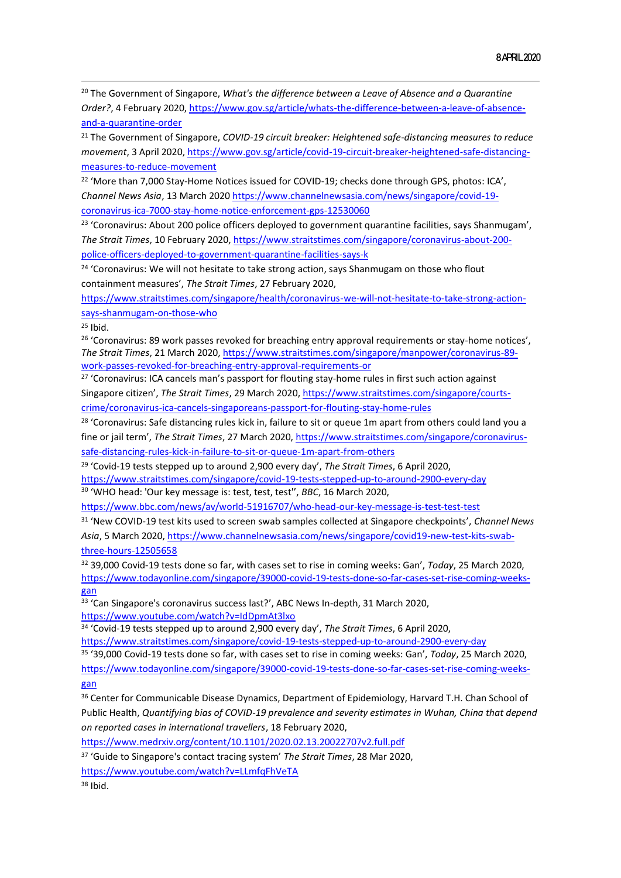<sup>20</sup> The Government of Singapore, *What's the difference between a Leave of Absence and a Quarantine Order?*, 4 February 2020[, https://www.gov.sg/article/whats-the-difference-between-a-leave-of-absence](https://www.gov.sg/article/whats-the-difference-between-a-leave-of-absence-and-a-quarantine-order)[and-a-quarantine-order](https://www.gov.sg/article/whats-the-difference-between-a-leave-of-absence-and-a-quarantine-order)

<sup>21</sup> The Government of Singapore, *COVID-19 circuit breaker: Heightened safe-distancing measures to reduce movement*, 3 April 2020, [https://www.gov.sg/article/covid-19-circuit-breaker-heightened-safe-distancing](https://www.gov.sg/article/covid-19-circuit-breaker-heightened-safe-distancing-measures-to-reduce-movement)[measures-to-reduce-movement](https://www.gov.sg/article/covid-19-circuit-breaker-heightened-safe-distancing-measures-to-reduce-movement)

<sup>22</sup> 'More than 7,000 Stay-Home Notices issued for COVID-19; checks done through GPS, photos: ICA', *Channel News Asia*, 13 March 2020 [https://www.channelnewsasia.com/news/singapore/covid-19](https://www.channelnewsasia.com/news/singapore/covid-19-coronavirus-ica-7000-stay-home-notice-enforcement-gps-12530060) [coronavirus-ica-7000-stay-home-notice-enforcement-gps-12530060](https://www.channelnewsasia.com/news/singapore/covid-19-coronavirus-ica-7000-stay-home-notice-enforcement-gps-12530060)

<sup>23</sup> 'Coronavirus: About 200 police officers deployed to government quarantine facilities, says Shanmugam', *The Strait Times*, 10 February 2020, [https://www.straitstimes.com/singapore/coronavirus-about-200](https://www.straitstimes.com/singapore/coronavirus-about-200-police-officers-deployed-to-government-quarantine-facilities-says-k) [police-officers-deployed-to-government-quarantine-facilities-says-k](https://www.straitstimes.com/singapore/coronavirus-about-200-police-officers-deployed-to-government-quarantine-facilities-says-k)

<sup>24</sup> 'Coronavirus: We will not hesitate to take strong action, says Shanmugam on those who flout containment measures', *The Strait Times*, 27 February 2020,

[https://www.straitstimes.com/singapore/health/coronavirus-we-will-not-hesitate-to-take-strong-action](https://www.straitstimes.com/singapore/health/coronavirus-we-will-not-hesitate-to-take-strong-action-says-shanmugam-on-those-who)[says-shanmugam-on-those-who](https://www.straitstimes.com/singapore/health/coronavirus-we-will-not-hesitate-to-take-strong-action-says-shanmugam-on-those-who)

 $25$  Ibid.

<sup>26</sup> 'Coronavirus: 89 work passes revoked for breaching entry approval requirements or stay-home notices', *The Strait Times*, 21 March 2020, [https://www.straitstimes.com/singapore/manpower/coronavirus-89](https://www.straitstimes.com/singapore/manpower/coronavirus-89-work-passes-revoked-for-breaching-entry-approval-requirements-or) [work-passes-revoked-for-breaching-entry-approval-requirements-or](https://www.straitstimes.com/singapore/manpower/coronavirus-89-work-passes-revoked-for-breaching-entry-approval-requirements-or)

<sup>27</sup> 'Coronavirus: ICA cancels man's passport for flouting stay-home rules in first such action against Singapore citizen', *The Strait Times*, 29 March 2020[, https://www.straitstimes.com/singapore/courts](https://www.straitstimes.com/singapore/courts-crime/coronavirus-ica-cancels-singaporeans-passport-for-flouting-stay-home-rules)[crime/coronavirus-ica-cancels-singaporeans-passport-for-flouting-stay-home-rules](https://www.straitstimes.com/singapore/courts-crime/coronavirus-ica-cancels-singaporeans-passport-for-flouting-stay-home-rules)

<sup>28</sup> 'Coronavirus: Safe distancing rules kick in, failure to sit or queue 1m apart from others could land you a fine or jail term', *The Strait Times*, 27 March 2020, [https://www.straitstimes.com/singapore/coronavirus](https://www.straitstimes.com/singapore/coronavirus-safe-distancing-rules-kick-in-failure-to-sit-or-queue-1m-apart-from-others)[safe-distancing-rules-kick-in-failure-to-sit-or-queue-1m-apart-from-others](https://www.straitstimes.com/singapore/coronavirus-safe-distancing-rules-kick-in-failure-to-sit-or-queue-1m-apart-from-others)

<sup>29</sup> 'Covid-19 tests stepped up to around 2,900 every day', *The Strait Times*, 6 April 2020,

<https://www.straitstimes.com/singapore/covid-19-tests-stepped-up-to-around-2900-every-day>

<sup>30</sup> 'WHO head: 'Our key message is: test, test, test'', *BBC*, 16 March 2020,

<https://www.bbc.com/news/av/world-51916707/who-head-our-key-message-is-test-test-test>

<sup>31</sup> 'New COVID-19 test kits used to screen swab samples collected at Singapore checkpoints', *Channel News Asia*, 5 March 2020, [https://www.channelnewsasia.com/news/singapore/covid19-new-test-kits-swab](https://www.channelnewsasia.com/news/singapore/covid19-new-test-kits-swab-three-hours-12505658)[three-hours-12505658](https://www.channelnewsasia.com/news/singapore/covid19-new-test-kits-swab-three-hours-12505658)

<sup>32</sup> 39,000 Covid-19 tests done so far, with cases set to rise in coming weeks: Gan', *Today*, 25 March 2020, [https://www.todayonline.com/singapore/39000-covid-19-tests-done-so-far-cases-set-rise-coming-weeks](https://www.todayonline.com/singapore/39000-covid-19-tests-done-so-far-cases-set-rise-coming-weeks-gan)[gan](https://www.todayonline.com/singapore/39000-covid-19-tests-done-so-far-cases-set-rise-coming-weeks-gan)

<sup>33</sup> 'Can Singapore's coronavirus success last?', ABC News In-depth, 31 March 2020, <https://www.youtube.com/watch?v=IdDpmAt3lxo>

<sup>34</sup> 'Covid-19 tests stepped up to around 2,900 every day', *The Strait Times*, 6 April 2020,

<https://www.straitstimes.com/singapore/covid-19-tests-stepped-up-to-around-2900-every-day> <sup>35</sup> '39,000 Covid-19 tests done so far, with cases set to rise in coming weeks: Gan', *Today*, 25 March 2020, [https://www.todayonline.com/singapore/39000-covid-19-tests-done-so-far-cases-set-rise-coming-weeks](https://www.todayonline.com/singapore/39000-covid-19-tests-done-so-far-cases-set-rise-coming-weeks-gan)[gan](https://www.todayonline.com/singapore/39000-covid-19-tests-done-so-far-cases-set-rise-coming-weeks-gan)

<sup>36</sup> Center for Communicable Disease Dynamics, Department of Epidemiology, Harvard T.H. Chan School of Public Health, *Quantifying bias of COVID-19 prevalence and severity estimates in Wuhan, China that depend on reported cases in international travellers*, 18 February 2020,

<https://www.medrxiv.org/content/10.1101/2020.02.13.20022707v2.full.pdf>

<sup>37</sup> 'Guide to Singapore's contact tracing system' *The Strait Times*, 28 Mar 2020,

<https://www.youtube.com/watch?v=LLmfqFhVeTA>

<sup>38</sup> Ibid.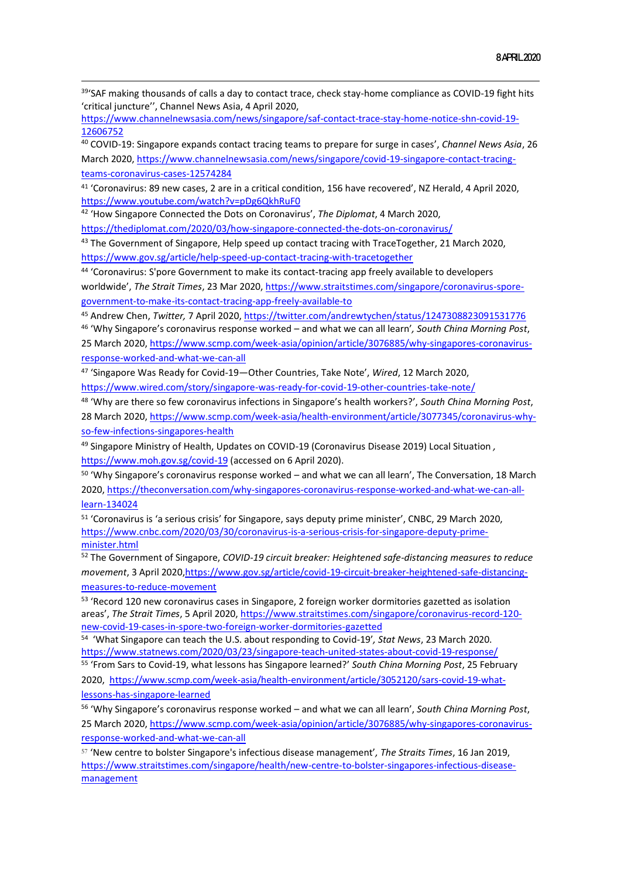<sup>39</sup>'SAF making thousands of calls a day to contact trace, check stay-home compliance as COVID-19 fight hits 'critical juncture'', Channel News Asia, 4 April 2020,

[https://www.channelnewsasia.com/news/singapore/saf-contact-trace-stay-home-notice-shn-covid-19-](https://www.channelnewsasia.com/news/singapore/saf-contact-trace-stay-home-notice-shn-covid-19-12606752) [12606752](https://www.channelnewsasia.com/news/singapore/saf-contact-trace-stay-home-notice-shn-covid-19-12606752)

<sup>40</sup> COVID-19: Singapore expands contact tracing teams to prepare for surge in cases', *Channel News Asia*, 26 March 2020[, https://www.channelnewsasia.com/news/singapore/covid-19-singapore-contact-tracing](https://www.channelnewsasia.com/news/singapore/covid-19-singapore-contact-tracing-teams-coronavirus-cases-12574284)[teams-coronavirus-cases-12574284](https://www.channelnewsasia.com/news/singapore/covid-19-singapore-contact-tracing-teams-coronavirus-cases-12574284)

<sup>41</sup> 'Coronavirus: 89 new cases, 2 are in a critical condition, 156 have recovered', NZ Herald, 4 April 2020, <https://www.youtube.com/watch?v=pDg6QkhRuF0>

<sup>42</sup> 'How Singapore Connected the Dots on Coronavirus', *The Diplomat*, 4 March 2020,

<https://thediplomat.com/2020/03/how-singapore-connected-the-dots-on-coronavirus/>

43 The Government of Singapore, Help speed up contact tracing with TraceTogether, 21 March 2020, <https://www.gov.sg/article/help-speed-up-contact-tracing-with-tracetogether>

<sup>44</sup> 'Coronavirus: S'pore Government to make its contact-tracing app freely available to developers worldwide', *The Strait Times*, 23 Mar 2020, [https://www.straitstimes.com/singapore/coronavirus-spore](https://www.straitstimes.com/singapore/coronavirus-spore-government-to-make-its-contact-tracing-app-freely-available-to)[government-to-make-its-contact-tracing-app-freely-available-to](https://www.straitstimes.com/singapore/coronavirus-spore-government-to-make-its-contact-tracing-app-freely-available-to)

<sup>45</sup> Andrew Chen, *Twitter,* 7 April 2020,<https://twitter.com/andrewtychen/status/1247308823091531776>

<sup>46</sup> 'Why Singapore's coronavirus response worked – and what we can all learn'*, South China Morning Post*, 25 March 2020, [https://www.scmp.com/week-asia/opinion/article/3076885/why-singapores-coronavirus](https://www.scmp.com/week-asia/opinion/article/3076885/why-singapores-coronavirus-response-worked-and-what-we-can-all)[response-worked-and-what-we-can-all](https://www.scmp.com/week-asia/opinion/article/3076885/why-singapores-coronavirus-response-worked-and-what-we-can-all)

<sup>47</sup> 'Singapore Was Ready for Covid-19—Other Countries, Take Note', *Wired*, 12 March 2020, <https://www.wired.com/story/singapore-was-ready-for-covid-19-other-countries-take-note/>

<sup>48</sup> 'Why are there so few coronavirus infections in Singapore's health workers?', *South China Morning Post*, 28 March 2020, [https://www.scmp.com/week-asia/health-environment/article/3077345/coronavirus-why](https://www.scmp.com/week-asia/health-environment/article/3077345/coronavirus-why-so-few-infections-singapores-health)[so-few-infections-singapores-health](https://www.scmp.com/week-asia/health-environment/article/3077345/coronavirus-why-so-few-infections-singapores-health)

<sup>49</sup> Singapore Ministry of Health, Updates on COVID-19 (Coronavirus Disease 2019) Local Situation *,*  <https://www.moh.gov.sg/covid-19> (accessed on 6 April 2020).

<sup>50</sup> 'Why Singapore's coronavirus response worked – and what we can all learn', The Conversation, 18 March 2020, [https://theconversation.com/why-singapores-coronavirus-response-worked-and-what-we-can-all](https://theconversation.com/why-singapores-coronavirus-response-worked-and-what-we-can-all-learn-134024)[learn-134024](https://theconversation.com/why-singapores-coronavirus-response-worked-and-what-we-can-all-learn-134024)

<sup>51</sup> 'Coronavirus is 'a serious crisis' for Singapore, says deputy prime minister', CNBC, 29 March 2020, [https://www.cnbc.com/2020/03/30/coronavirus-is-a-serious-crisis-for-singapore-deputy-prime](https://www.cnbc.com/2020/03/30/coronavirus-is-a-serious-crisis-for-singapore-deputy-prime-minister.html)[minister.html](https://www.cnbc.com/2020/03/30/coronavirus-is-a-serious-crisis-for-singapore-deputy-prime-minister.html)

<sup>52</sup> The Government of Singapore, *COVID-19 circuit breaker: Heightened safe-distancing measures to reduce movement*, 3 April 202[0,https://www.gov.sg/article/covid-19-circuit-breaker-heightened-safe-distancing](https://www.gov.sg/article/covid-19-circuit-breaker-heightened-safe-distancing-measures-to-reduce-movement)[measures-to-reduce-movement](https://www.gov.sg/article/covid-19-circuit-breaker-heightened-safe-distancing-measures-to-reduce-movement)

<sup>53</sup> 'Record 120 new coronavirus cases in Singapore, 2 foreign worker dormitories gazetted as isolation areas', *The Strait Times*, 5 April 2020, [https://www.straitstimes.com/singapore/coronavirus-record-120](https://www.straitstimes.com/singapore/coronavirus-record-120-new-covid-19-cases-in-spore-two-foreign-worker-dormitories-gazetted) [new-covid-19-cases-in-spore-two-foreign-worker-dormitories-gazetted](https://www.straitstimes.com/singapore/coronavirus-record-120-new-covid-19-cases-in-spore-two-foreign-worker-dormitories-gazetted)

54 'What Singapore can teach the U.S. about responding to Covid-19'*, Stat News*, 23 March 2020. <https://www.statnews.com/2020/03/23/singapore-teach-united-states-about-covid-19-response/>

<sup>55</sup> 'From Sars to Covid-19, what lessons has Singapore learned?' *South China Morning Post*, 25 February 2020, [https://www.scmp.com/week-asia/health-environment/article/3052120/sars-covid-19-what](https://www.scmp.com/week-asia/health-environment/article/3052120/sars-covid-19-what-lessons-has-singapore-learned)[lessons-has-singapore-learned](https://www.scmp.com/week-asia/health-environment/article/3052120/sars-covid-19-what-lessons-has-singapore-learned)

<sup>56</sup> 'Why Singapore's coronavirus response worked – and what we can all learn', *South China Morning Post*, 25 March 2020, [https://www.scmp.com/week-asia/opinion/article/3076885/why-singapores-coronavirus](https://www.scmp.com/week-asia/opinion/article/3076885/why-singapores-coronavirus-response-worked-and-what-we-can-all)[response-worked-and-what-we-can-all](https://www.scmp.com/week-asia/opinion/article/3076885/why-singapores-coronavirus-response-worked-and-what-we-can-all)

<sup>57</sup> 'New centre to bolster Singapore's infectious disease management'*, The Straits Times*, 16 Jan 2019, [https://www.straitstimes.com/singapore/health/new-centre-to-bolster-singapores-infectious-disease](https://www.straitstimes.com/singapore/health/new-centre-to-bolster-singapores-infectious-disease-management)[management](https://www.straitstimes.com/singapore/health/new-centre-to-bolster-singapores-infectious-disease-management)